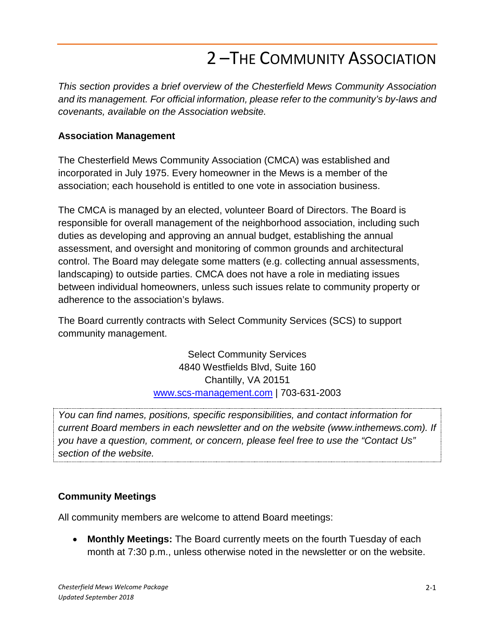## 2 –THE COMMUNITY ASSOCIATION

*This section provides a brief overview of the Chesterfield Mews Community Association and its management. For official information, please refer to the community's by-laws and covenants, available on the Association website.*

## **Association Management**

The Chesterfield Mews Community Association (CMCA) was established and incorporated in July 1975. Every homeowner in the Mews is a member of the association; each household is entitled to one vote in association business.

The CMCA is managed by an elected, volunteer Board of Directors. The Board is responsible for overall management of the neighborhood association, including such duties as developing and approving an annual budget, establishing the annual assessment, and oversight and monitoring of common grounds and architectural control. The Board may delegate some matters (e.g. collecting annual assessments, landscaping) to outside parties. CMCA does not have a role in mediating issues between individual homeowners, unless such issues relate to community property or adherence to the association's bylaws.

The Board currently contracts with Select Community Services (SCS) to support community management.

> Select Community Services 4840 Westfields Blvd, Suite 160 Chantilly, VA 20151 [www.scs-management.com](http://www.scs-management.com/) | 703-631-2003

*You can find names, positions, specific responsibilities, and contact information for current Board members in each newsletter and on the website [\(www.inthemews.com\)](http://www.inthemews.com/). If you have a question, comment, or concern, please feel free to use the "Contact Us" section of the website.*

## **Community Meetings**

All community members are welcome to attend Board meetings:

• **Monthly Meetings:** The Board currently meets on the fourth Tuesday of each month at 7:30 p.m., unless otherwise noted in the newsletter or on the website.